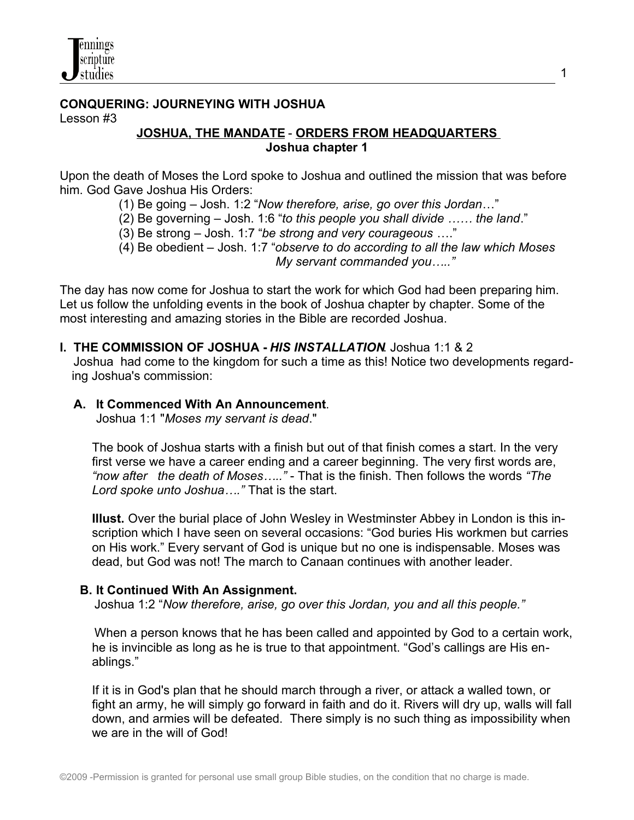## **CONQUERING: JOURNEYING WITH JOSHUA** Lesson #3

#### **JOSHUA, THE MANDATE** - **ORDERS FROM HEADQUARTERS Joshua chapter 1**

1

Upon the death of Moses the Lord spoke to Joshua and outlined the mission that was before him. God Gave Joshua His Orders:

(1) Be going – Josh. 1:2 "*Now therefore, arise, go over this Jordan*…"

(2) Be governing – Josh. 1:6 "*to this people you shall divide …… the land*."

(3) Be strong – Josh. 1:7 "*be strong and very courageous* …."

 (4) Be obedient – Josh. 1:7 "*observe to do according to all the law which Moses My servant commanded you….."*

The day has now come for Joshua to start the work for which God had been preparing him. Let us follow the unfolding events in the book of Joshua chapter by chapter. Some of the most interesting and amazing stories in the Bible are recorded Joshua.

### **I. THE COMMISSION OF JOSHUA -** *HIS INSTALLATION*. Joshua 1:1 & 2

 Joshua had come to the kingdom for such a time as this! Notice two developments regarding Joshua's commission:

### **A. It Commenced With An Announcement**.

Joshua 1:1 "*Moses my servant is dead*."

The book of Joshua starts with a finish but out of that finish comes a start. In the very first verse we have a career ending and a career beginning. The very first words are, *"now after the death of Moses….."* - That is the finish. Then follows the words *"The Lord spoke unto Joshua…."* That is the start.

**Illust.** Over the burial place of John Wesley in Westminster Abbey in London is this inscription which I have seen on several occasions: "God buries His workmen but carries on His work." Every servant of God is unique but no one is indispensable. Moses was dead, but God was not! The march to Canaan continues with another leader.

## **B. It Continued With An Assignment.**

Joshua 1:2 "*Now therefore, arise, go over this Jordan, you and all this people."*

 When a person knows that he has been called and appointed by God to a certain work, he is invincible as long as he is true to that appointment. "God's callings are His enablings."

If it is in God's plan that he should march through a river, or attack a walled town, or fight an army, he will simply go forward in faith and do it. Rivers will dry up, walls will fall down, and armies will be defeated. There simply is no such thing as impossibility when we are in the will of God!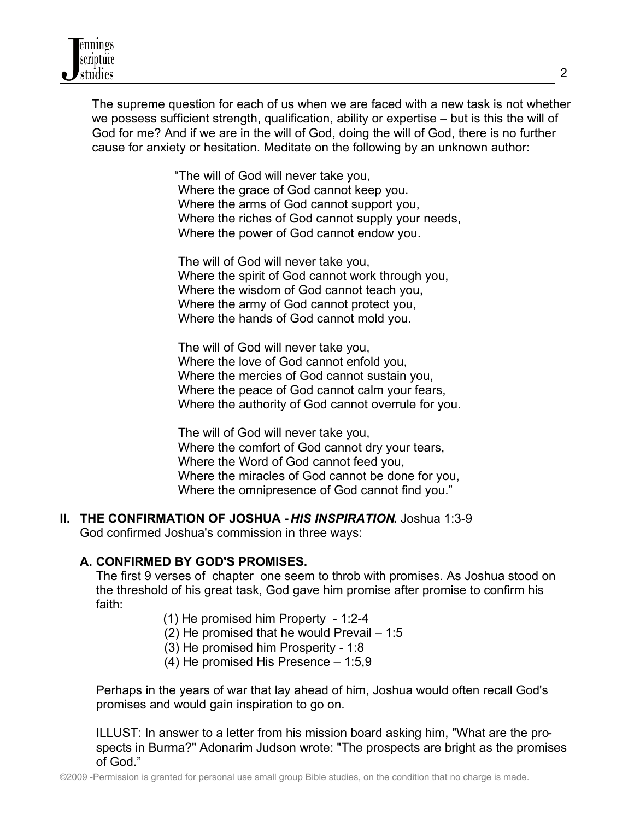The supreme question for each of us when we are faced with a new task is not whether we possess sufficient strength, qualification, ability or expertise – but is this the will of God for me? And if we are in the will of God, doing the will of God, there is no further cause for anxiety or hesitation. Meditate on the following by an unknown author:

> "The will of God will never take you, Where the grace of God cannot keep you. Where the arms of God cannot support you, Where the riches of God cannot supply your needs, Where the power of God cannot endow you.

 The will of God will never take you, Where the spirit of God cannot work through you, Where the wisdom of God cannot teach you, Where the army of God cannot protect you, Where the hands of God cannot mold you.

 The will of God will never take you, Where the love of God cannot enfold you, Where the mercies of God cannot sustain you, Where the peace of God cannot calm your fears, Where the authority of God cannot overrule for you.

 The will of God will never take you, Where the comfort of God cannot dry your tears, Where the Word of God cannot feed you, Where the miracles of God cannot be done for you, Where the omnipresence of God cannot find you."

**II. THE CONFIRMATION OF JOSHUA -** *HIS INSPIRATION***.** Joshua 1:3-9 God confirmed Joshua's commission in three ways:

## **A. CONFIRMED BY GOD'S PROMISES.**

The first 9 verses of chapter one seem to throb with promises. As Joshua stood on the threshold of his great task, God gave him promise after promise to confirm his faith:

(1) He promised him Property - 1:2-4

(2) He promised that he would Prevail – 1:5

- (3) He promised him Prosperity 1:8
- (4) He promised His Presence 1:5,9

Perhaps in the years of war that lay ahead of him, Joshua would often recall God's promises and would gain inspiration to go on.

ILLUST: In answer to a letter from his mission board asking him, "What are the prospects in Burma?" Adonarim Judson wrote: "The prospects are bright as the promises of God."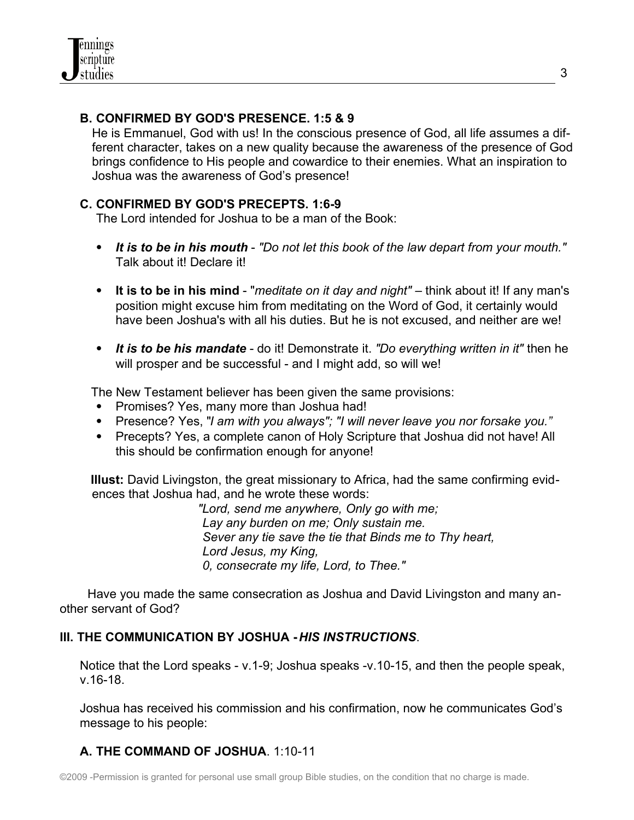## **B. CONFIRMED BY GOD'S PRESENCE. 1:5 & 9**

He is Emmanuel, God with us! In the conscious presence of God, all life assumes a different character, takes on a new quality because the awareness of the presence of God brings confidence to His people and cowardice to their enemies. What an inspiration to Joshua was the awareness of God's presence!

### **C. CONFIRMED BY GOD'S PRECEPTS. 1:6-9**

The Lord intended for Joshua to be a man of the Book:

- *It is to be in his mouth "Do not let this book of the law depart from your mouth."* Talk about it! Declare it!
- **It is to be in his mind** "*meditate on it day and night"* think about it! If any man's position might excuse him from meditating on the Word of God, it certainly would have been Joshua's with all his duties. But he is not excused, and neither are we!
- *It is to be his mandate* do it! Demonstrate it. *"Do everything written in it"* then he will prosper and be successful - and I might add, so will we!

The New Testament believer has been given the same provisions:

- Promises? Yes, many more than Joshua had!
- Presence? Yes, "*I am with you always"; "I will never leave you nor forsake you."*
- Precepts? Yes, a complete canon of Holy Scripture that Joshua did not have! All this should be confirmation enough for anyone!

 **Illust:** David Livingston, the great missionary to Africa, had the same confirming evidences that Joshua had, and he wrote these words:

 *"Lord, send me anywhere, Only go with me; Lay any burden on me; Only sustain me. Sever any tie save the tie that Binds me to Thy heart, Lord Jesus, my King, 0, consecrate my life, Lord, to Thee."*

 Have you made the same consecration as Joshua and David Livingston and many another servant of God?

## **III. THE COMMUNICATION BY JOSHUA -** *HIS INSTRUCTIONS*.

Notice that the Lord speaks - v.1-9; Joshua speaks -v.10-15, and then the people speak, v.16-18.

Joshua has received his commission and his confirmation, now he communicates God's message to his people:

## **A. THE COMMAND OF JOSHUA**. 1:10-11